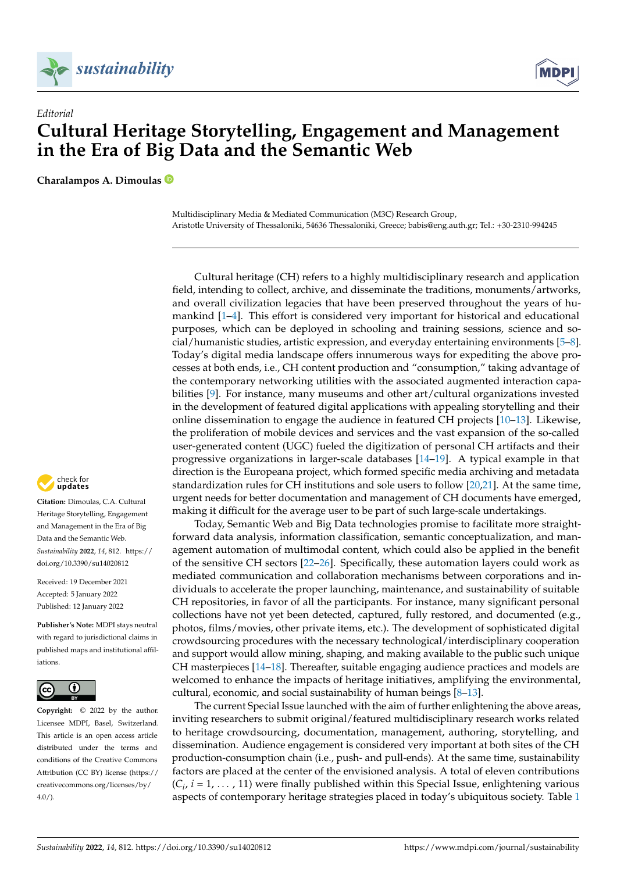



## *Editorial* **Cultural Heritage Storytelling, Engagement and Management in the Era of Big Data and the Semantic Web**

**Charalampos A. Dimoulas**

Multidisciplinary Media & Mediated Communication (M3C) Research Group, Aristotle University of Thessaloniki, 54636 Thessaloniki, Greece; babis@eng.auth.gr; Tel.: +30-2310-994245

Cultural heritage (CH) refers to a highly multidisciplinary research and application field, intending to collect, archive, and disseminate the traditions, monuments/artworks, and overall civilization legacies that have been preserved throughout the years of humankind [\[1–](#page-4-0)[4\]](#page-4-1). This effort is considered very important for historical and educational purposes, which can be deployed in schooling and training sessions, science and social/humanistic studies, artistic expression, and everyday entertaining environments [\[5](#page-4-2)[–8\]](#page-4-3). Today's digital media landscape offers innumerous ways for expediting the above processes at both ends, i.e., CH content production and "consumption," taking advantage of the contemporary networking utilities with the associated augmented interaction capabilities [\[9\]](#page-4-4). For instance, many museums and other art/cultural organizations invested in the development of featured digital applications with appealing storytelling and their online dissemination to engage the audience in featured CH projects  $[10-13]$  $[10-13]$ . Likewise, the proliferation of mobile devices and services and the vast expansion of the so-called user-generated content (UGC) fueled the digitization of personal CH artifacts and their progressive organizations in larger-scale databases [\[14–](#page-4-7)[19\]](#page-5-0). A typical example in that direction is the Europeana project, which formed specific media archiving and metadata standardization rules for CH institutions and sole users to follow [\[20](#page-5-1)[,21\]](#page-5-2). At the same time, urgent needs for better documentation and management of CH documents have emerged, making it difficult for the average user to be part of such large-scale undertakings.

Today, Semantic Web and Big Data technologies promise to facilitate more straightforward data analysis, information classification, semantic conceptualization, and management automation of multimodal content, which could also be applied in the benefit of the sensitive CH sectors [\[22](#page-5-3)[–26\]](#page-5-4). Specifically, these automation layers could work as mediated communication and collaboration mechanisms between corporations and individuals to accelerate the proper launching, maintenance, and sustainability of suitable CH repositories, in favor of all the participants. For instance, many significant personal collections have not yet been detected, captured, fully restored, and documented (e.g., photos, films/movies, other private items, etc.). The development of sophisticated digital crowdsourcing procedures with the necessary technological/interdisciplinary cooperation and support would allow mining, shaping, and making available to the public such unique CH masterpieces [\[14](#page-4-7)[–18\]](#page-4-8). Thereafter, suitable engaging audience practices and models are welcomed to enhance the impacts of heritage initiatives, amplifying the environmental, cultural, economic, and social sustainability of human beings [\[8–](#page-4-3)[13\]](#page-4-6).

The current Special Issue launched with the aim of further enlightening the above areas, inviting researchers to submit original/featured multidisciplinary research works related to heritage crowdsourcing, documentation, management, authoring, storytelling, and dissemination. Audience engagement is considered very important at both sites of the CH production-consumption chain (i.e., push- and pull-ends). At the same time, sustainability factors are placed at the center of the envisioned analysis. A total of eleven contributions  $(C_i, i = 1, \ldots, 11)$  were finally published within this Special Issue, enlightening various aspects of contemporary heritage strategies placed in today's ubiquitous society. Table [1](#page-1-0)



**Citation:** Dimoulas, C.A. Cultural Heritage Storytelling, Engagement and Management in the Era of Big Data and the Semantic Web. *Sustainability* **2022**, *14*, 812. [https://](https://doi.org/10.3390/su14020812) [doi.org/10.3390/su14020812](https://doi.org/10.3390/su14020812)

Received: 19 December 2021 Accepted: 5 January 2022 Published: 12 January 2022

**Publisher's Note:** MDPI stays neutral with regard to jurisdictional claims in published maps and institutional affiliations.



**Copyright:** © 2022 by the author. Licensee MDPI, Basel, Switzerland. This article is an open access article distributed under the terms and conditions of the Creative Commons Attribution (CC BY) license [\(https://](https://creativecommons.org/licenses/by/4.0/) [creativecommons.org/licenses/by/](https://creativecommons.org/licenses/by/4.0/)  $4.0/$ ).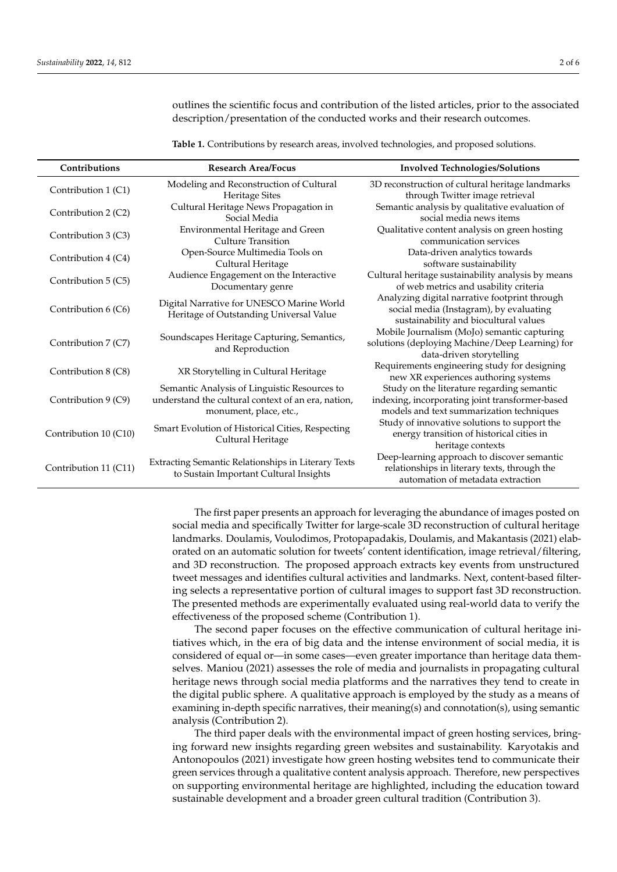outlines the scientific focus and contribution of the listed articles, prior to the associated description/presentation of the conducted works and their research outcomes.

<span id="page-1-0"></span>**Table 1.** Contributions by research areas, involved technologies, and proposed solutions.

| Contributions         | <b>Research Area/Focus</b>                                                                                                   | <b>Involved Technologies/Solutions</b>                                                                                                    |
|-----------------------|------------------------------------------------------------------------------------------------------------------------------|-------------------------------------------------------------------------------------------------------------------------------------------|
| Contribution 1 (C1)   | Modeling and Reconstruction of Cultural<br><b>Heritage Sites</b>                                                             | 3D reconstruction of cultural heritage landmarks<br>through Twitter image retrieval                                                       |
| Contribution 2 (C2)   | Cultural Heritage News Propagation in<br>Social Media                                                                        | Semantic analysis by qualitative evaluation of<br>social media news items                                                                 |
| Contribution 3 (C3)   | Environmental Heritage and Green<br>Culture Transition                                                                       | Qualitative content analysis on green hosting<br>communication services                                                                   |
| Contribution 4 (C4)   | Open-Source Multimedia Tools on<br>Cultural Heritage                                                                         | Data-driven analytics towards<br>software sustainability                                                                                  |
| Contribution 5 (C5)   | Audience Engagement on the Interactive<br>Documentary genre                                                                  | Cultural heritage sustainability analysis by means<br>of web metrics and usability criteria                                               |
| Contribution 6 (C6)   | Digital Narrative for UNESCO Marine World<br>Heritage of Outstanding Universal Value                                         | Analyzing digital narrative footprint through<br>social media (Instagram), by evaluating<br>sustainability and biocultural values         |
| Contribution 7 (C7)   | Soundscapes Heritage Capturing, Semantics,<br>and Reproduction                                                               | Mobile Journalism (MoJo) semantic capturing<br>solutions (deploying Machine/Deep Learning) for<br>data-driven storytelling                |
| Contribution 8 (C8)   | XR Storytelling in Cultural Heritage                                                                                         | Requirements engineering study for designing<br>new XR experiences authoring systems                                                      |
| Contribution 9 (C9)   | Semantic Analysis of Linguistic Resources to<br>understand the cultural context of an era, nation,<br>monument, place, etc., | Study on the literature regarding semantic<br>indexing, incorporating joint transformer-based<br>models and text summarization techniques |
| Contribution 10 (C10) | Smart Evolution of Historical Cities, Respecting<br>Cultural Heritage                                                        | Study of innovative solutions to support the<br>energy transition of historical cities in<br>heritage contexts                            |
| Contribution 11 (C11) | Extracting Semantic Relationships in Literary Texts<br>to Sustain Important Cultural Insights                                | Deep-learning approach to discover semantic<br>relationships in literary texts, through the<br>automation of metadata extraction          |

The first paper presents an approach for leveraging the abundance of images posted on social media and specifically Twitter for large-scale 3D reconstruction of cultural heritage landmarks. Doulamis, Voulodimos, Protopapadakis, Doulamis, and Makantasis (2021) elaborated on an automatic solution for tweets' content identification, image retrieval/filtering, and 3D reconstruction. The proposed approach extracts key events from unstructured tweet messages and identifies cultural activities and landmarks. Next, content-based filtering selects a representative portion of cultural images to support fast 3D reconstruction. The presented methods are experimentally evaluated using real-world data to verify the effectiveness of the proposed scheme (Contribution 1).

The second paper focuses on the effective communication of cultural heritage initiatives which, in the era of big data and the intense environment of social media, it is considered of equal or—in some cases—even greater importance than heritage data themselves. Maniou (2021) assesses the role of media and journalists in propagating cultural heritage news through social media platforms and the narratives they tend to create in the digital public sphere. A qualitative approach is employed by the study as a means of examining in-depth specific narratives, their meaning(s) and connotation(s), using semantic analysis (Contribution 2).

The third paper deals with the environmental impact of green hosting services, bringing forward new insights regarding green websites and sustainability. Karyotakis and Antonopoulos (2021) investigate how green hosting websites tend to communicate their green services through a qualitative content analysis approach. Therefore, new perspectives on supporting environmental heritage are highlighted, including the education toward sustainable development and a broader green cultural tradition (Contribution 3).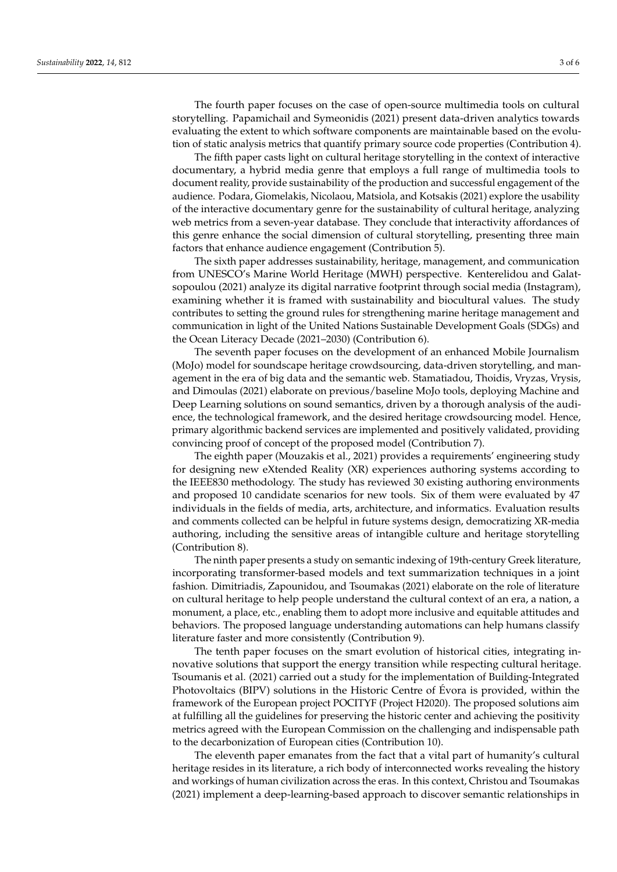The fourth paper focuses on the case of open-source multimedia tools on cultural storytelling. Papamichail and Symeonidis (2021) present data-driven analytics towards evaluating the extent to which software components are maintainable based on the evolution of static analysis metrics that quantify primary source code properties (Contribution 4).

The fifth paper casts light on cultural heritage storytelling in the context of interactive documentary, a hybrid media genre that employs a full range of multimedia tools to document reality, provide sustainability of the production and successful engagement of the audience. Podara, Giomelakis, Nicolaou, Matsiola, and Kotsakis (2021) explore the usability of the interactive documentary genre for the sustainability of cultural heritage, analyzing web metrics from a seven-year database. They conclude that interactivity affordances of this genre enhance the social dimension of cultural storytelling, presenting three main factors that enhance audience engagement (Contribution 5).

The sixth paper addresses sustainability, heritage, management, and communication from UNESCO's Marine World Heritage (MWH) perspective. Kenterelidou and Galatsopoulou (2021) analyze its digital narrative footprint through social media (Instagram), examining whether it is framed with sustainability and biocultural values. The study contributes to setting the ground rules for strengthening marine heritage management and communication in light of the United Nations Sustainable Development Goals (SDGs) and the Ocean Literacy Decade (2021–2030) (Contribution 6).

The seventh paper focuses on the development of an enhanced Mobile Journalism (MoJo) model for soundscape heritage crowdsourcing, data-driven storytelling, and management in the era of big data and the semantic web. Stamatiadou, Thoidis, Vryzas, Vrysis, and Dimoulas (2021) elaborate on previous/baseline MoJo tools, deploying Machine and Deep Learning solutions on sound semantics, driven by a thorough analysis of the audience, the technological framework, and the desired heritage crowdsourcing model. Hence, primary algorithmic backend services are implemented and positively validated, providing convincing proof of concept of the proposed model (Contribution 7).

The eighth paper (Mouzakis et al., 2021) provides a requirements' engineering study for designing new eXtended Reality (XR) experiences authoring systems according to the IEEE830 methodology. The study has reviewed 30 existing authoring environments and proposed 10 candidate scenarios for new tools. Six of them were evaluated by 47 individuals in the fields of media, arts, architecture, and informatics. Evaluation results and comments collected can be helpful in future systems design, democratizing XR-media authoring, including the sensitive areas of intangible culture and heritage storytelling (Contribution 8).

The ninth paper presents a study on semantic indexing of 19th-century Greek literature, incorporating transformer-based models and text summarization techniques in a joint fashion. Dimitriadis, Zapounidou, and Tsoumakas (2021) elaborate on the role of literature on cultural heritage to help people understand the cultural context of an era, a nation, a monument, a place, etc., enabling them to adopt more inclusive and equitable attitudes and behaviors. The proposed language understanding automations can help humans classify literature faster and more consistently (Contribution 9).

The tenth paper focuses on the smart evolution of historical cities, integrating innovative solutions that support the energy transition while respecting cultural heritage. Tsoumanis et al. (2021) carried out a study for the implementation of Building-Integrated Photovoltaics (BIPV) solutions in the Historic Centre of Évora is provided, within the framework of the European project POCITYF (Project H2020). The proposed solutions aim at fulfilling all the guidelines for preserving the historic center and achieving the positivity metrics agreed with the European Commission on the challenging and indispensable path to the decarbonization of European cities (Contribution 10).

The eleventh paper emanates from the fact that a vital part of humanity's cultural heritage resides in its literature, a rich body of interconnected works revealing the history and workings of human civilization across the eras. In this context, Christou and Tsoumakas (2021) implement a deep-learning-based approach to discover semantic relationships in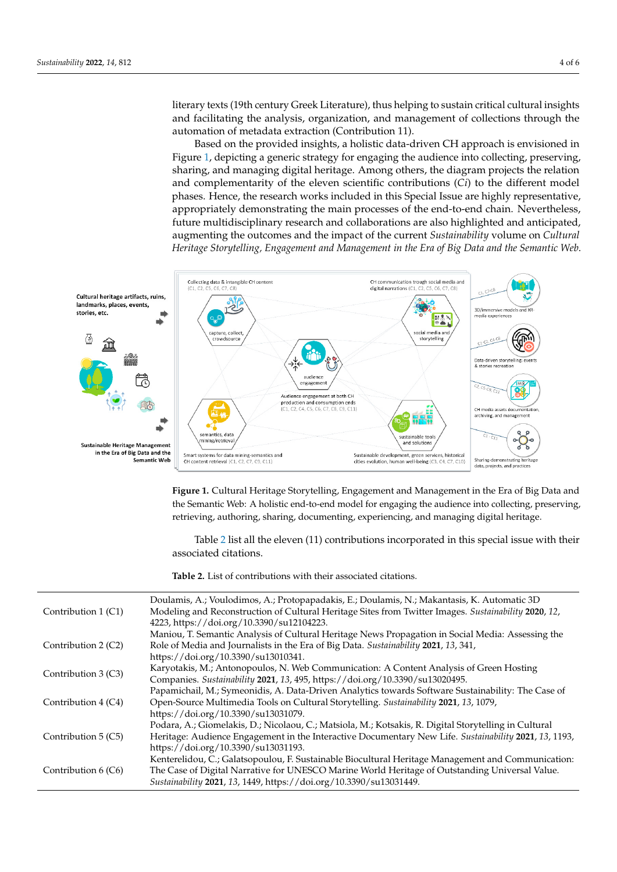literary texts (19th century Greek Literature), thus helping to sustain critical cultural insights and facilitating the analysis, organization, and management of collections through the automation of metadata extraction (Contribution 11). automation of metadata extraction (Contribution 11).

Based on the provided insights, a holistic data-driven CH approach is envisioned in Based on the provided insights, a holistic data-driven CH approach is envisioned in Figure [1,](#page-3-0) depicting a generic strategy for engaging the audience into collecting, preserving, sharing, and managing digital heritage. Among others, the diagram projects the relation and complementarity of the eleven scientific contributions (*Ci*) to the different model phases. Hence, the research works included in this Special Issue are highly representative, phases. Hence, the research works included in this Special Issue are highly representative, appropriately demonstrating the main processes of the end-to-end chain. Nevertheless, appropriately demonstrating the main processes of the end-to-end chain. Nevertheless, future multidisciplinary research and collaborations are also highlighted and anticipated, future multidisciplinary research and collaborations are also highlighted and anticipated, augmenting the outcomes and the impact of the current *Sustainability* volume on *Cultural* augmenting the outcomes and the impact of the current *Sustainability* volume on *Cultural Heritage Storytelling, Engagement and Management in the Era of Big Data and the Semantic Web*. *Heritage Storytelling, Engagement and Management in the Era of Big Data and the Semantic Web*.

<span id="page-3-0"></span>

**Figure 1.** Cultural Heritage Storytelling, Engagement and Management in the Era of Big Data and **Figure 1.** Cultural Heritage Storytelling, Engagement and Management in the Era of Big Data and the Semantic Web: A holistic end-to-end model for engaging the audience into collecting, preserving, ing, retrieving, authoring, sharing, documenting, experiencing, and managing digital heritage. retrieving, authoring, sharing, documenting, experiencing, and managing digital heritage.

Table 2 list all the eleven (11) contributions incorporated in this special issue with Table [2](#page-4-9) list all the eleven (11) contributions incorporated in this special issue with their associated citations.

**Table 2.** List of contributions with their associated citations. **Table 2.** List of contributions with their associated citations.

| Contribution 1 (C1) | Doulamis, A.; Voulodimos, A.; Protopapadakis, E.; Doulamis, N.; Makantasis, K. Automatic 3D<br>Modeling and Reconstruction of Cultural Heritage Sites from Twitter Images. Sustainability 2020, 12,<br>4223, https://doi.org/10.3390/su12104223.                           |
|---------------------|----------------------------------------------------------------------------------------------------------------------------------------------------------------------------------------------------------------------------------------------------------------------------|
| Contribution 2 (C2) | Maniou, T. Semantic Analysis of Cultural Heritage News Propagation in Social Media: Assessing the<br>Role of Media and Journalists in the Era of Big Data. Sustainability 2021, 13, 341,<br>https://doi.org/10.3390/su13010341.                                            |
| Contribution 3 (C3) | Karyotakis, M.; Antonopoulos, N. Web Communication: A Content Analysis of Green Hosting<br>Companies. Sustainability 2021, 13, 495, https://doi.org/10.3390/su13020495.                                                                                                    |
| Contribution 4 (C4) | Papamichail, M.; Symeonidis, A. Data-Driven Analytics towards Software Sustainability: The Case of<br>Open-Source Multimedia Tools on Cultural Storytelling. Sustainability 2021, 13, 1079,<br>https://doi.org/10.3390/su13031079.                                         |
| Contribution 5 (C5) | Podara, A.; Giomelakis, D.; Nicolaou, C.; Matsiola, M.; Kotsakis, R. Digital Storytelling in Cultural<br>Heritage: Audience Engagement in the Interactive Documentary New Life. Sustainability 2021, 13, 1193,<br>https://doi.org/10.3390/su13031193.                      |
| Contribution 6 (C6) | Kenterelidou, C.; Galatsopoulou, F. Sustainable Biocultural Heritage Management and Communication:<br>The Case of Digital Narrative for UNESCO Marine World Heritage of Outstanding Universal Value.<br>Sustainability 2021, 13, 1449, https://doi.org/10.3390/su13031449. |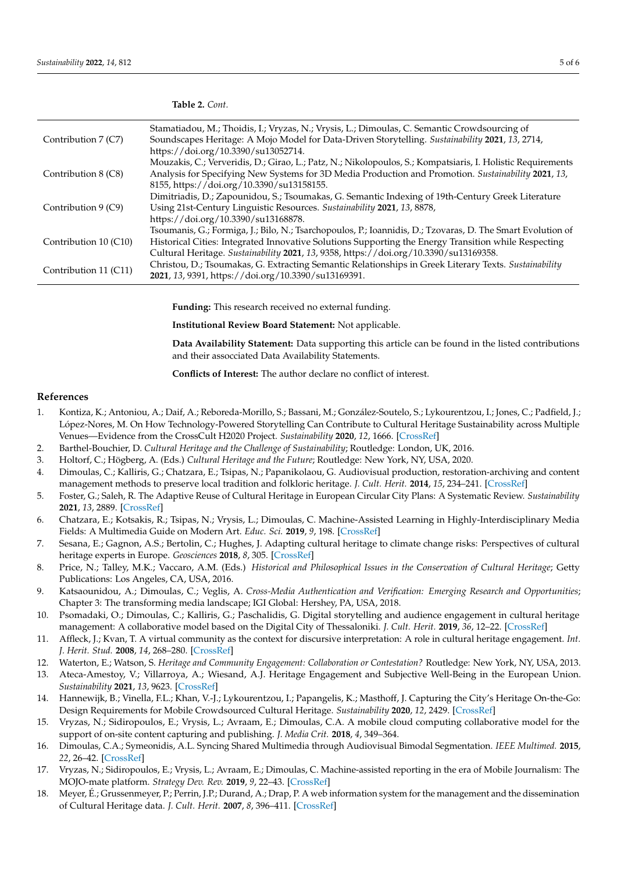|                       | Stamatiadou, M.; Thoidis, I.; Vryzas, N.; Vrysis, L.; Dimoulas, C. Semantic Crowdsourcing of                |
|-----------------------|-------------------------------------------------------------------------------------------------------------|
| Contribution 7 (C7)   | Soundscapes Heritage: A Mojo Model for Data-Driven Storytelling. Sustainability 2021, 13, 2714,             |
|                       | https://doi.org/10.3390/su13052714.                                                                         |
|                       | Mouzakis, C.; Ververidis, D.; Girao, L.; Patz, N.; Nikolopoulos, S.; Kompatsiaris, I. Holistic Requirements |
| Contribution 8 (C8)   | Analysis for Specifying New Systems for 3D Media Production and Promotion. Sustainability 2021, 13,         |
|                       | 8155, https://doi.org/10.3390/su13158155.                                                                   |
|                       | Dimitriadis, D.; Zapounidou, S.; Tsoumakas, G. Semantic Indexing of 19th-Century Greek Literature           |
| Contribution 9 (C9)   | Using 21st-Century Linguistic Resources. Sustainability 2021, 13, 8878,                                     |
|                       | https://doi.org/10.3390/su13168878.                                                                         |
|                       | Tsoumanis, G.; Formiga, J.; Bilo, N.; Tsarchopoulos, P.; Ioannidis, D.; Tzovaras, D. The Smart Evolution of |
| Contribution 10 (C10) | Historical Cities: Integrated Innovative Solutions Supporting the Energy Transition while Respecting        |
|                       | Cultural Heritage. Sustainability 2021, 13, 9358, https://doi.org/10.3390/su13169358.                       |
| Contribution 11 (C11) | Christou, D.; Tsoumakas, G. Extracting Semantic Relationships in Greek Literary Texts. Sustainability       |
|                       | 2021, 13, 9391, https://doi.org/10.3390/su13169391.                                                         |
|                       |                                                                                                             |
|                       |                                                                                                             |

**Funding:** This research received no external funding.

**Institutional Review Board Statement:** Not applicable.

**Data Availability Statement:** Data supporting this article can be found in the listed contributions and their assocciated Data Availability Statements.

**Conflicts of Interest:** The author declare no conflict of interest.

## **References**

- <span id="page-4-0"></span>1. Kontiza, K.; Antoniou, A.; Daif, A.; Reboreda-Morillo, S.; Bassani, M.; González-Soutelo, S.; Lykourentzou, I.; Jones, C.; Padfield, J.; López-Nores, M. On How Technology-Powered Storytelling Can Contribute to Cultural Heritage Sustainability across Multiple Venues—Evidence from the CrossCult H2020 Project. *Sustainability* **2020**, *12*, 1666. [\[CrossRef\]](http://doi.org/10.3390/su12041666)
- 2. Barthel-Bouchier, D. *Cultural Heritage and the Challenge of Sustainability*; Routledge: London, UK, 2016.

<span id="page-4-9"></span>**Table 2.** *Cont.*

- 3. Holtorf, C.; Högberg, A. (Eds.) *Cultural Heritage and the Future*; Routledge: New York, NY, USA, 2020.
- <span id="page-4-1"></span>4. Dimoulas, C.; Kalliris, G.; Chatzara, E.; Tsipas, N.; Papanikolaou, G. Audiovisual production, restoration-archiving and content management methods to preserve local tradition and folkloric heritage. *J. Cult. Herit.* **2014**, *15*, 234–241. [\[CrossRef\]](http://doi.org/10.1016/j.culher.2013.05.003)
- <span id="page-4-2"></span>5. Foster, G.; Saleh, R. The Adaptive Reuse of Cultural Heritage in European Circular City Plans: A Systematic Review. *Sustainability* **2021**, *13*, 2889. [\[CrossRef\]](http://doi.org/10.3390/su13052889)
- 6. Chatzara, E.; Kotsakis, R.; Tsipas, N.; Vrysis, L.; Dimoulas, C. Machine-Assisted Learning in Highly-Interdisciplinary Media Fields: A Multimedia Guide on Modern Art. *Educ. Sci.* **2019**, *9*, 198. [\[CrossRef\]](http://doi.org/10.3390/educsci9030198)
- 7. Sesana, E.; Gagnon, A.S.; Bertolin, C.; Hughes, J. Adapting cultural heritage to climate change risks: Perspectives of cultural heritage experts in Europe. *Geosciences* **2018**, *8*, 305. [\[CrossRef\]](http://doi.org/10.3390/geosciences8080305)
- <span id="page-4-3"></span>8. Price, N.; Talley, M.K.; Vaccaro, A.M. (Eds.) *Historical and Philosophical Issues in the Conservation of Cultural Heritage*; Getty Publications: Los Angeles, CA, USA, 2016.
- <span id="page-4-4"></span>9. Katsaounidou, A.; Dimoulas, C.; Veglis, A. *Cross-Media Authentication and Verification: Emerging Research and Opportunities*; Chapter 3: The transforming media landscape; IGI Global: Hershey, PA, USA, 2018.
- <span id="page-4-5"></span>10. Psomadaki, O.; Dimoulas, C.; Kalliris, G.; Paschalidis, G. Digital storytelling and audience engagement in cultural heritage management: A collaborative model based on the Digital City of Thessaloniki. *J. Cult. Herit.* **2019**, *36*, 12–22. [\[CrossRef\]](http://doi.org/10.1016/j.culher.2018.07.016)
- 11. Affleck, J.; Kvan, T. A virtual community as the context for discursive interpretation: A role in cultural heritage engagement. *Int. J. Herit. Stud.* **2008**, *14*, 268–280. [\[CrossRef\]](http://doi.org/10.1080/13527250801953751)
- 12. Waterton, E.; Watson, S. *Heritage and Community Engagement: Collaboration or Contestation?* Routledge: New York, NY, USA, 2013.
- <span id="page-4-6"></span>13. Ateca-Amestoy, V.; Villarroya, A.; Wiesand, A.J. Heritage Engagement and Subjective Well-Being in the European Union. *Sustainability* **2021**, *13*, 9623. [\[CrossRef\]](http://doi.org/10.3390/su13179623)
- <span id="page-4-7"></span>14. Hannewijk, B.; Vinella, F.L.; Khan, V.-J.; Lykourentzou, I.; Papangelis, K.; Masthoff, J. Capturing the City's Heritage On-the-Go: Design Requirements for Mobile Crowdsourced Cultural Heritage. *Sustainability* **2020**, *12*, 2429. [\[CrossRef\]](http://doi.org/10.3390/su12062429)
- 15. Vryzas, N.; Sidiropoulos, E.; Vrysis, L.; Avraam, E.; Dimoulas, C.A. A mobile cloud computing collaborative model for the support of on-site content capturing and publishing. *J. Media Crit.* **2018**, *4*, 349–364.
- 16. Dimoulas, C.A.; Symeonidis, A.L. Syncing Shared Multimedia through Audiovisual Bimodal Segmentation. *IEEE Multimed.* **2015**, *22*, 26–42. [\[CrossRef\]](http://doi.org/10.1109/MMUL.2015.33)
- 17. Vryzas, N.; Sidiropoulos, E.; Vrysis, L.; Avraam, E.; Dimoulas, C. Machine-assisted reporting in the era of Mobile Journalism: The MOJO-mate platform. *Strategy Dev. Rev.* **2019**, *9*, 22–43. [\[CrossRef\]](http://doi.org/10.34276/1822-009-999-003)
- <span id="page-4-8"></span>18. Meyer, É.; Grussenmeyer, P.; Perrin, J.P.; Durand, A.; Drap, P. A web information system for the management and the dissemination of Cultural Heritage data. *J. Cult. Herit.* **2007**, *8*, 396–411. [\[CrossRef\]](http://doi.org/10.1016/j.culher.2007.07.003)